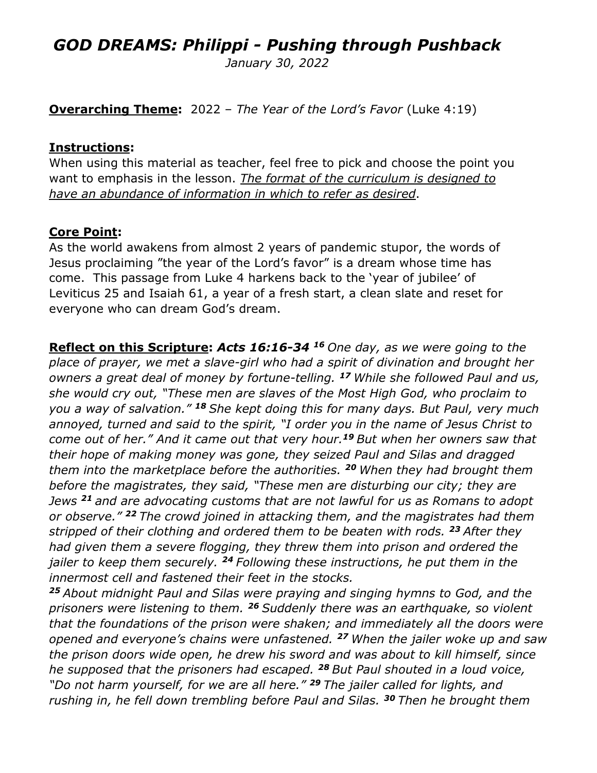# *GOD DREAMS: Philippi - Pushing through Pushback*

*January 30, 2022*

**Overarching Theme:** 2022 – *The Year of the Lord's Favor* (Luke 4:19)

#### **Instructions:**

When using this material as teacher, feel free to pick and choose the point you want to emphasis in the lesson. *The format of the curriculum is designed to have an abundance of information in which to refer as desired*.

#### **Core Point:**

As the world awakens from almost 2 years of pandemic stupor, the words of Jesus proclaiming "the year of the Lord's favor" is a dream whose time has come. This passage from Luke 4 harkens back to the 'year of jubilee' of Leviticus 25 and Isaiah 61, a year of a fresh start, a clean slate and reset for everyone who can dream God's dream.

**Reflect on this Scripture:** *Acts 16:16-34 16 One day, as we were going to the place of prayer, we met a slave-girl who had a spirit of divination and brought her owners a great deal of money by fortune-telling. <sup>17</sup> While she followed Paul and us, she would cry out, "These men are slaves of the Most High God, who proclaim to you a way of salvation." <sup>18</sup> She kept doing this for many days. But Paul, very much annoyed, turned and said to the spirit, "I order you in the name of Jesus Christ to come out of her." And it came out that very hour.<sup>19</sup> But when her owners saw that their hope of making money was gone, they seized Paul and Silas and dragged them into the marketplace before the authorities. <sup>20</sup> When they had brought them before the magistrates, they said, "These men are disturbing our city; they are Jews <sup>21</sup> and are advocating customs that are not lawful for us as Romans to adopt or observe." <sup>22</sup> The crowd joined in attacking them, and the magistrates had them stripped of their clothing and ordered them to be beaten with rods. <sup>23</sup> After they had given them a severe flogging, they threw them into prison and ordered the jailer to keep them securely. <sup>24</sup> Following these instructions, he put them in the innermost cell and fastened their feet in the stocks.*

*<sup>25</sup> About midnight Paul and Silas were praying and singing hymns to God, and the prisoners were listening to them. <sup>26</sup> Suddenly there was an earthquake, so violent that the foundations of the prison were shaken; and immediately all the doors were opened and everyone's chains were unfastened. <sup>27</sup> When the jailer woke up and saw the prison doors wide open, he drew his sword and was about to kill himself, since he supposed that the prisoners had escaped. <sup>28</sup> But Paul shouted in a loud voice, "Do not harm yourself, for we are all here." <sup>29</sup> The jailer called for lights, and rushing in, he fell down trembling before Paul and Silas. <sup>30</sup> Then he brought them*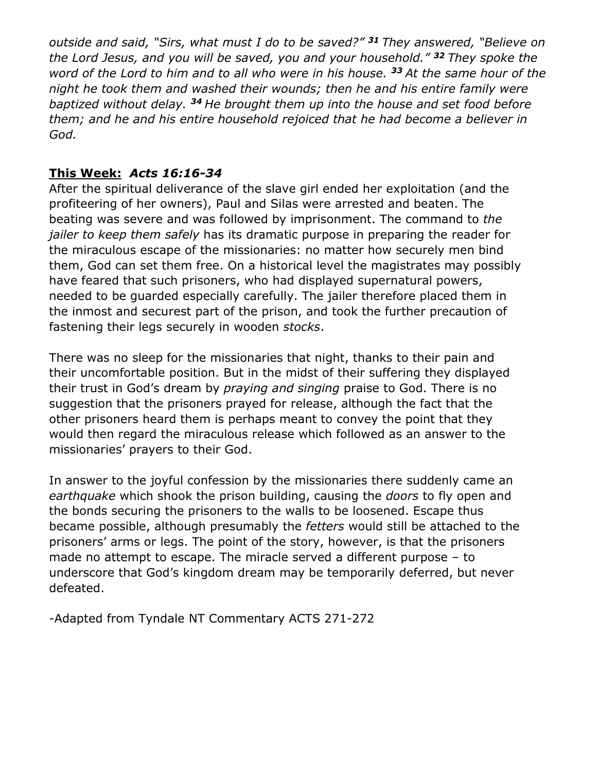*outside and said, "Sirs, what must I do to be saved?" <sup>31</sup> They answered, "Believe on the Lord Jesus, and you will be saved, you and your household." <sup>32</sup> They spoke the word of the Lord to him and to all who were in his house. <sup>33</sup> At the same hour of the night he took them and washed their wounds; then he and his entire family were baptized without delay. <sup>34</sup> He brought them up into the house and set food before them; and he and his entire household rejoiced that he had become a believer in God.*

### **This Week:** *Acts 16:16-34*

After the spiritual deliverance of the slave girl ended her exploitation (and the profiteering of her owners), Paul and Silas were arrested and beaten. The beating was severe and was followed by imprisonment. The command to *the jailer to keep them safely* has its dramatic purpose in preparing the reader for the miraculous escape of the missionaries: no matter how securely men bind them, God can set them free. On a historical level the magistrates may possibly have feared that such prisoners, who had displayed supernatural powers, needed to be guarded especially carefully. The jailer therefore placed them in the inmost and securest part of the prison, and took the further precaution of fastening their legs securely in wooden *stocks*.

There was no sleep for the missionaries that night, thanks to their pain and their uncomfortable position. But in the midst of their suffering they displayed their trust in God's dream by *praying and singing* praise to God. There is no suggestion that the prisoners prayed for release, although the fact that the other prisoners heard them is perhaps meant to convey the point that they would then regard the miraculous release which followed as an answer to the missionaries' prayers to their God.

In answer to the joyful confession by the missionaries there suddenly came an *earthquake* which shook the prison building, causing the *doors* to fly open and the bonds securing the prisoners to the walls to be loosened. Escape thus became possible, although presumably the *fetters* would still be attached to the prisoners' arms or legs. The point of the story, however, is that the prisoners made no attempt to escape. The miracle served a different purpose – to underscore that God's kingdom dream may be temporarily deferred, but never defeated.

-Adapted from Tyndale NT Commentary ACTS 271-272